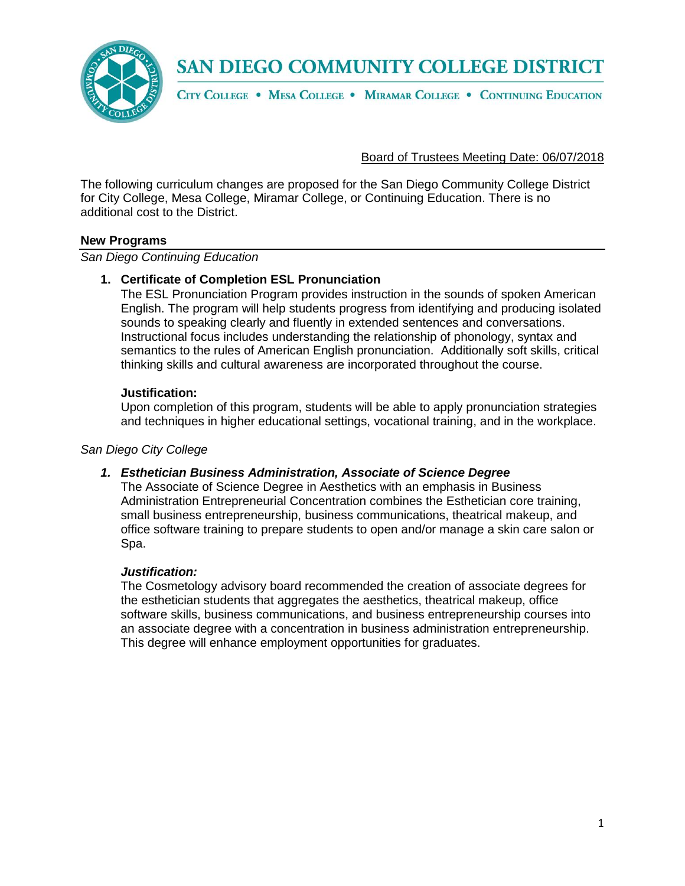

CITY COLLEGE . MESA COLLEGE . MIRAMAR COLLEGE . CONTINUING EDUCATION

Board of Trustees Meeting Date: 06/07/2018

The following curriculum changes are proposed for the San Diego Community College District for City College, Mesa College, Miramar College, or Continuing Education. There is no additional cost to the District.

#### **New Programs**

*San Diego Continuing Education*

### **1. Certificate of Completion ESL Pronunciation**

The ESL Pronunciation Program provides instruction in the sounds of spoken American English. The program will help students progress from identifying and producing isolated sounds to speaking clearly and fluently in extended sentences and conversations. Instructional focus includes understanding the relationship of phonology, syntax and semantics to the rules of American English pronunciation. Additionally soft skills, critical thinking skills and cultural awareness are incorporated throughout the course.

#### **Justification:**

Upon completion of this program, students will be able to apply pronunciation strategies and techniques in higher educational settings, vocational training, and in the workplace.

#### *San Diego City College*

### *1. Esthetician Business Administration, Associate of Science Degree*

The Associate of Science Degree in Aesthetics with an emphasis in Business Administration Entrepreneurial Concentration combines the Esthetician core training, small business entrepreneurship, business communications, theatrical makeup, and office software training to prepare students to open and/or manage a skin care salon or Spa.

#### *Justification:*

The Cosmetology advisory board recommended the creation of associate degrees for the esthetician students that aggregates the aesthetics, theatrical makeup, office software skills, business communications, and business entrepreneurship courses into an associate degree with a concentration in business administration entrepreneurship. This degree will enhance employment opportunities for graduates.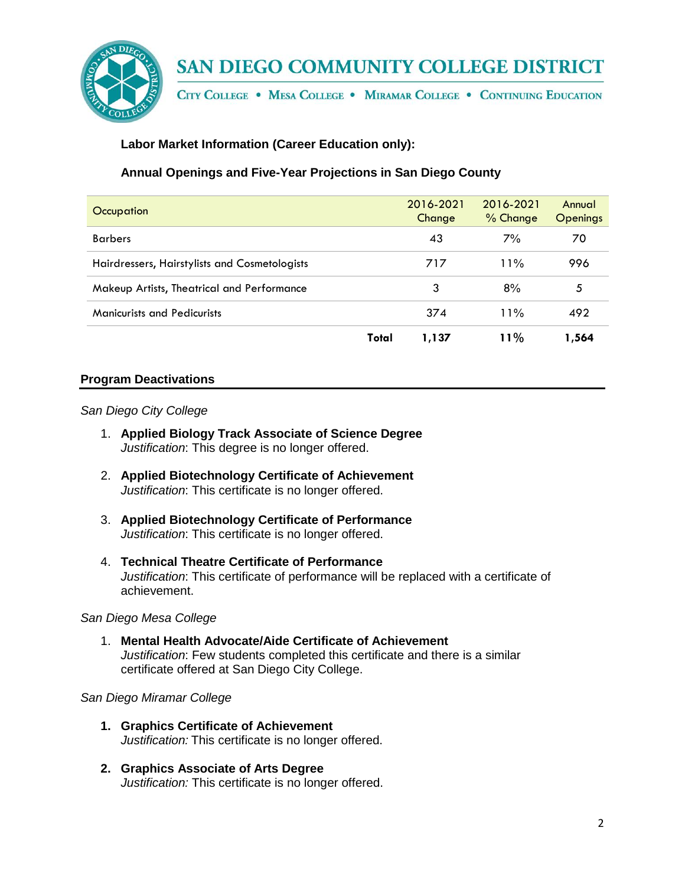

CITY COLLEGE . MESA COLLEGE . MIRAMAR COLLEGE . CONTINUING EDUCATION

## **Labor Market Information (Career Education only):**

## **Annual Openings and Five-Year Projections in San Diego County**

| Occupation                                    |       | 2016-2021<br>Change | 2016-2021<br>$%$ Change | Annual<br><b>Openings</b> |
|-----------------------------------------------|-------|---------------------|-------------------------|---------------------------|
| <b>Barbers</b>                                |       | 43                  | 7%                      | 70                        |
| Hairdressers, Hairstylists and Cosmetologists |       | 717                 | 11%                     | 996                       |
| Makeup Artists, Theatrical and Performance    |       | 3                   | 8%                      | 5                         |
| <b>Manicurists and Pedicurists</b>            |       | 374                 | 11%                     | 492                       |
|                                               | Total | 1,137               | 11%                     | 1,564                     |

### **Program Deactivations**

#### *San Diego City College*

- 1. **Applied Biology Track Associate of Science Degree** *Justification*: This degree is no longer offered.
- 2. **Applied Biotechnology Certificate of Achievement** *Justification*: This certificate is no longer offered.
- 3. **Applied Biotechnology Certificate of Performance** *Justification*: This certificate is no longer offered.
- 4. **Technical Theatre Certificate of Performance** *Justification*: This certificate of performance will be replaced with a certificate of achievement.

#### *San Diego Mesa College*

1. **Mental Health Advocate/Aide Certificate of Achievement**  *Justification*: Few students completed this certificate and there is a similar certificate offered at San Diego City College.

#### *San Diego Miramar College*

- **1. Graphics Certificate of Achievement** *Justification:* This certificate is no longer offered.
- **2. Graphics Associate of Arts Degree** *Justification:* This certificate is no longer offered.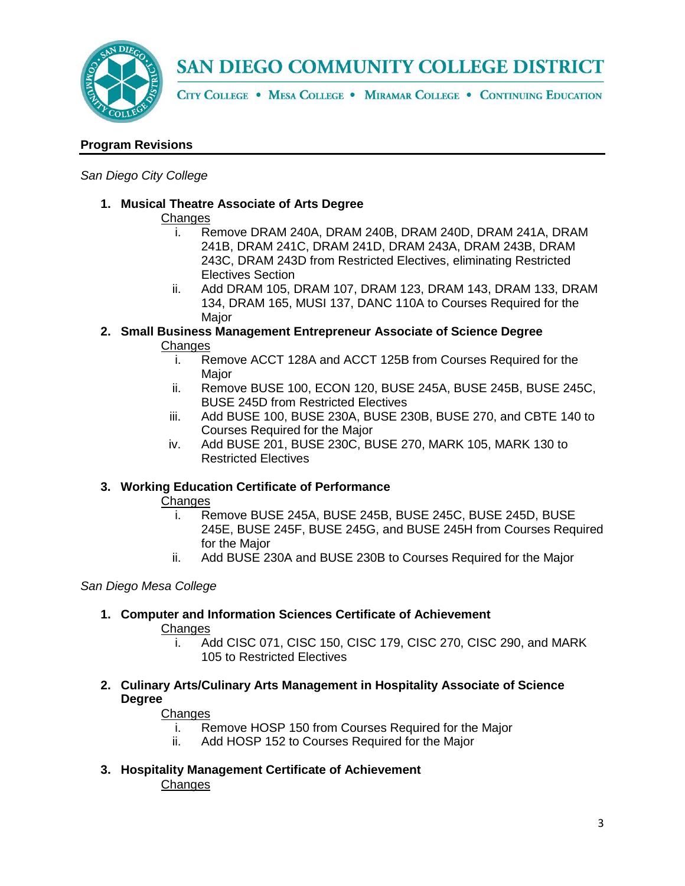

CITY COLLEGE . MESA COLLEGE . MIRAMAR COLLEGE . CONTINUING EDUCATION

## **Program Revisions**

#### *San Diego City College*

**1. Musical Theatre Associate of Arts Degree**

### **Changes**

- i. Remove DRAM 240A, DRAM 240B, DRAM 240D, DRAM 241A, DRAM 241B, DRAM 241C, DRAM 241D, DRAM 243A, DRAM 243B, DRAM 243C, DRAM 243D from Restricted Electives, eliminating Restricted Electives Section
- ii. Add DRAM 105, DRAM 107, DRAM 123, DRAM 143, DRAM 133, DRAM 134, DRAM 165, MUSI 137, DANC 110A to Courses Required for the **Maior**
- **2. Small Business Management Entrepreneur Associate of Science Degree** Changes
	- i. Remove ACCT 128A and ACCT 125B from Courses Required for the Major
	- ii. Remove BUSE 100, ECON 120, BUSE 245A, BUSE 245B, BUSE 245C, BUSE 245D from Restricted Electives
	- iii. Add BUSE 100, BUSE 230A, BUSE 230B, BUSE 270, and CBTE 140 to Courses Required for the Major
	- iv. Add BUSE 201, BUSE 230C, BUSE 270, MARK 105, MARK 130 to Restricted Electives

### **3. Working Education Certificate of Performance**

### **Changes**

- i. Remove BUSE 245A, BUSE 245B, BUSE 245C, BUSE 245D, BUSE 245E, BUSE 245F, BUSE 245G, and BUSE 245H from Courses Required for the Major
- ii. Add BUSE 230A and BUSE 230B to Courses Required for the Major

### *San Diego Mesa College*

### **1. Computer and Information Sciences Certificate of Achievement**

### **Changes**

- i. Add CISC 071, CISC 150, CISC 179, CISC 270, CISC 290, and MARK 105 to Restricted Electives
- **2. Culinary Arts/Culinary Arts Management in Hospitality Associate of Science Degree**

### Changes

- i. Remove HOSP 150 from Courses Required for the Major
- ii. Add HOSP 152 to Courses Required for the Major
- **3. Hospitality Management Certificate of Achievement Changes**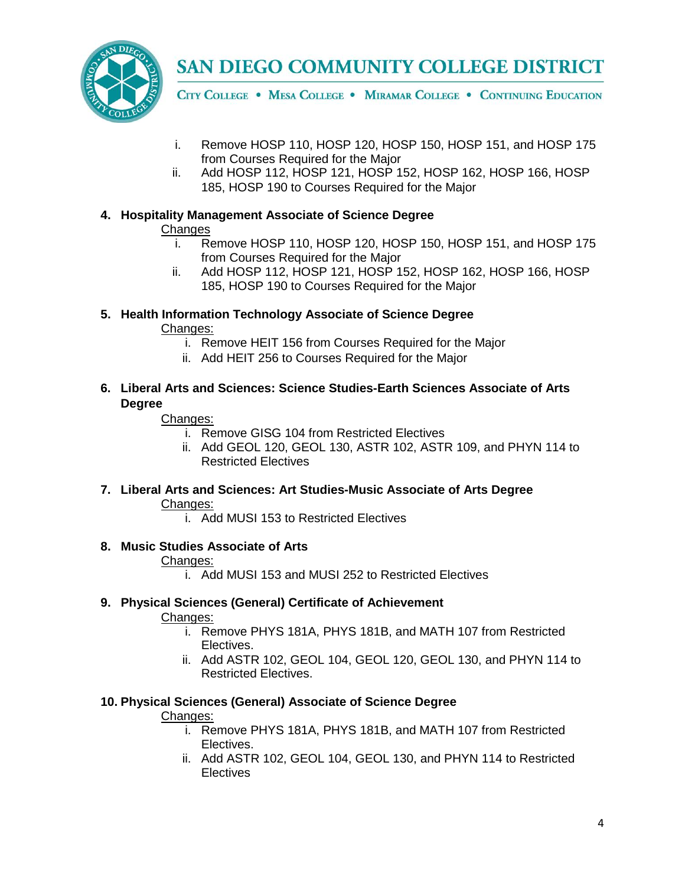CITY COLLEGE . MESA COLLEGE . MIRAMAR COLLEGE . CONTINUING EDUCATION

- i. Remove HOSP 110, HOSP 120, HOSP 150, HOSP 151, and HOSP 175 from Courses Required for the Major
- ii. Add HOSP 112, HOSP 121, HOSP 152, HOSP 162, HOSP 166, HOSP 185, HOSP 190 to Courses Required for the Major

## **4. Hospitality Management Associate of Science Degree**

## **Changes**

- i. Remove HOSP 110, HOSP 120, HOSP 150, HOSP 151, and HOSP 175 from Courses Required for the Major
- ii. Add HOSP 112, HOSP 121, HOSP 152, HOSP 162, HOSP 166, HOSP 185, HOSP 190 to Courses Required for the Major
- **5. Health Information Technology Associate of Science Degree**

## Changes:

- i. Remove HEIT 156 from Courses Required for the Major
- ii. Add HEIT 256 to Courses Required for the Major
- **6. Liberal Arts and Sciences: Science Studies-Earth Sciences Associate of Arts Degree**

## Changes:

- i. Remove GISG 104 from Restricted Electives
- ii. Add GEOL 120, GEOL 130, ASTR 102, ASTR 109, and PHYN 114 to Restricted Electives
- **7. Liberal Arts and Sciences: Art Studies-Music Associate of Arts Degree** Changes:
	- i. Add MUSI 153 to Restricted Electives

## **8. Music Studies Associate of Arts**

## Changes:

i. Add MUSI 153 and MUSI 252 to Restricted Electives

## **9. Physical Sciences (General) Certificate of Achievement**

## Changes:

- i. Remove PHYS 181A, PHYS 181B, and MATH 107 from Restricted Electives.
- ii. Add ASTR 102, GEOL 104, GEOL 120, GEOL 130, and PHYN 114 to Restricted Electives.

## **10. Physical Sciences (General) Associate of Science Degree**

## Changes:

- i. Remove PHYS 181A, PHYS 181B, and MATH 107 from Restricted Electives.
- ii. Add ASTR 102, GEOL 104, GEOL 130, and PHYN 114 to Restricted **Electives**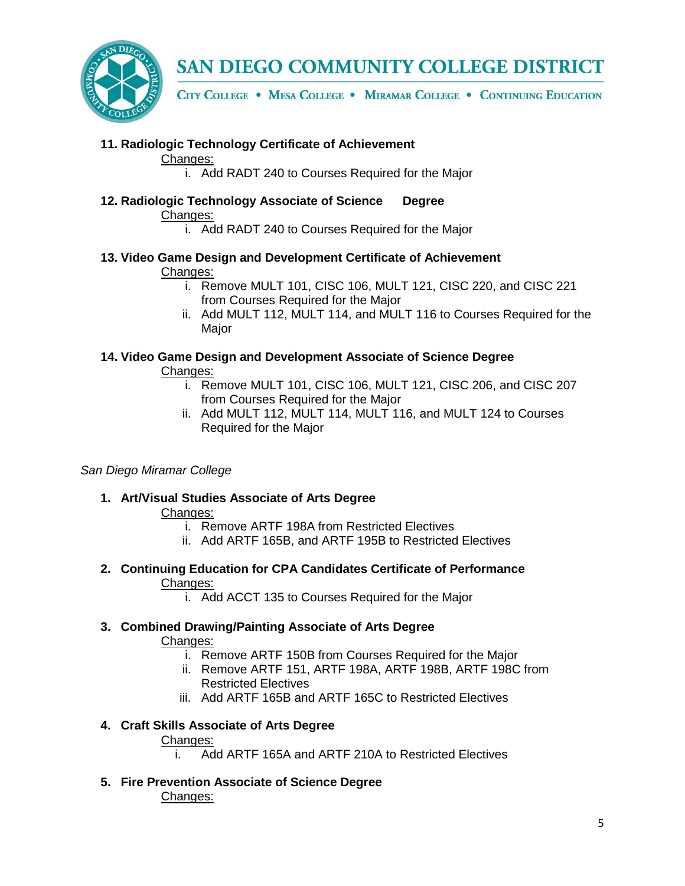

CITY COLLEGE . MESA COLLEGE . MIRAMAR COLLEGE . CONTINUING EDUCATION

## **11. Radiologic Technology Certificate of Achievement**

Changes:

i. Add RADT 240 to Courses Required for the Major

- **12. Radiologic Technology Associate of Science Degree** Changes:
	- i. Add RADT 240 to Courses Required for the Major
- **13. Video Game Design and Development Certificate of Achievement**  Changes:
	- i. Remove MULT 101, CISC 106, MULT 121, CISC 220, and CISC 221 from Courses Required for the Major
	- ii. Add MULT 112, MULT 114, and MULT 116 to Courses Required for the Major
- **14. Video Game Design and Development Associate of Science Degree** Changes:
	- i. Remove MULT 101, CISC 106, MULT 121, CISC 206, and CISC 207 from Courses Required for the Major
	- ii. Add MULT 112, MULT 114, MULT 116, and MULT 124 to Courses Required for the Major

### *San Diego Miramar College*

**1. Art/Visual Studies Associate of Arts Degree**

## Changes:

- i. Remove ARTF 198A from Restricted Electives
- ii. Add ARTF 165B, and ARTF 195B to Restricted Electives
- **2. Continuing Education for CPA Candidates Certificate of Performance** Changes:
	- i. Add ACCT 135 to Courses Required for the Major
- **3. Combined Drawing/Painting Associate of Arts Degree**

Changes:

- i. Remove ARTF 150B from Courses Required for the Major
- ii. Remove ARTF 151, ARTF 198A, ARTF 198B, ARTF 198C from Restricted Electives
- iii. Add ARTF 165B and ARTF 165C to Restricted Electives

## **4. Craft Skills Associate of Arts Degree**

### Changes:

- i. Add ARTF 165A and ARTF 210A to Restricted Electives
- **5. Fire Prevention Associate of Science Degree** Changes: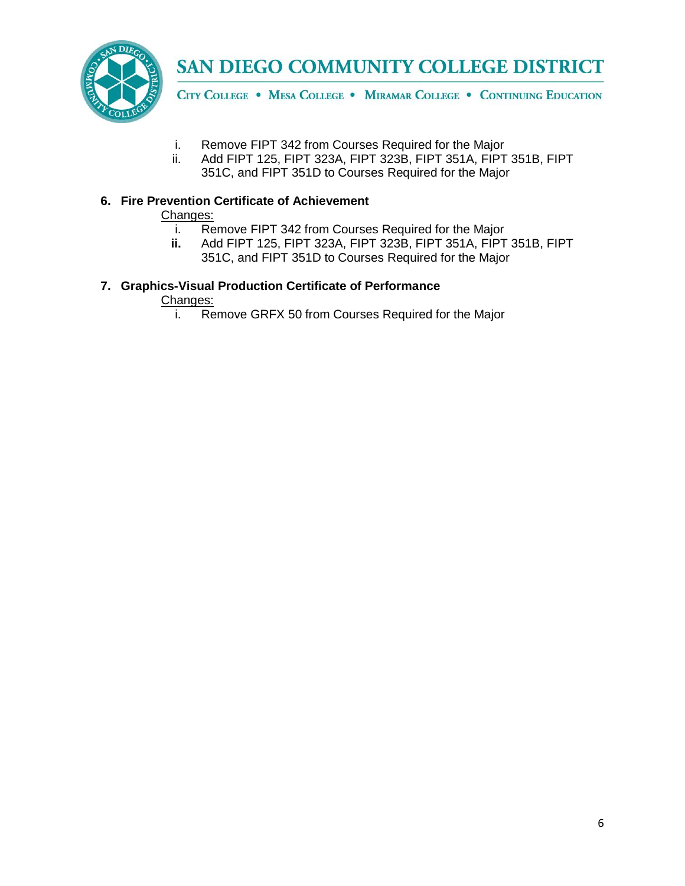

CITY COLLEGE . MESA COLLEGE . MIRAMAR COLLEGE . CONTINUING EDUCATION

- i. Remove FIPT 342 from Courses Required for the Major<br>ii. Add FIPT 125. FIPT 323A. FIPT 323B. FIPT 351A. FIPT
- Add FIPT 125, FIPT 323A, FIPT 323B, FIPT 351A, FIPT 351B, FIPT 351C, and FIPT 351D to Courses Required for the Major

## **6. Fire Prevention Certificate of Achievement**

# Changes:<br>i. Re

- Remove FIPT 342 from Courses Required for the Major
- **ii.** Add FIPT 125, FIPT 323A, FIPT 323B, FIPT 351A, FIPT 351B, FIPT
	- 351C, and FIPT 351D to Courses Required for the Major

## **7. Graphics-Visual Production Certificate of Performance**

Changes:

i. Remove GRFX 50 from Courses Required for the Major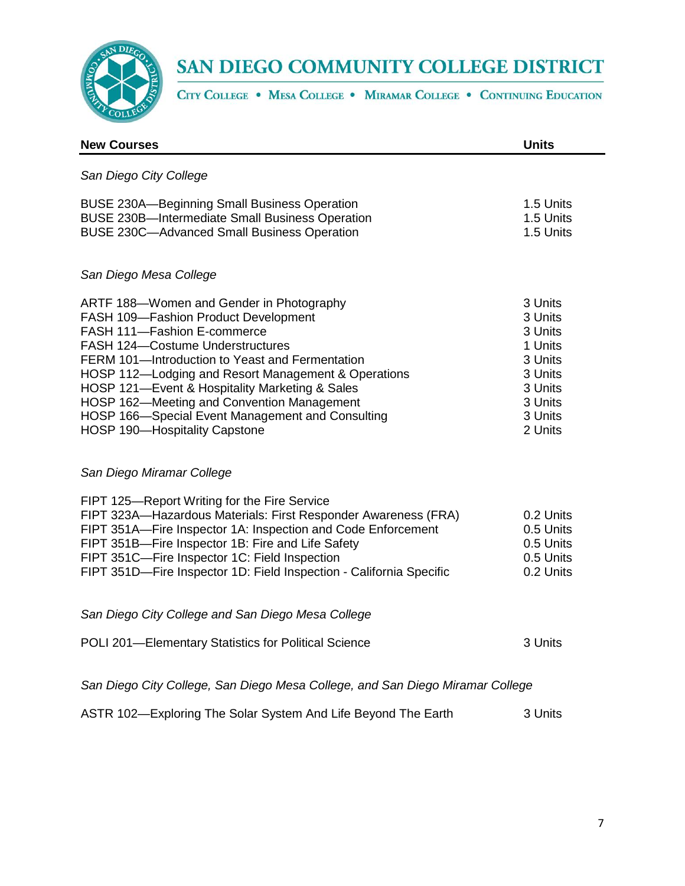

CITY COLLEGE . MESA COLLEGE . MIRAMAR COLLEGE . CONTINUING EDUCATION

| <b>New Courses</b>                                                                                                                                                                                                                                                                                                                                                                                                                                               | <b>Units</b>                                                                                               |
|------------------------------------------------------------------------------------------------------------------------------------------------------------------------------------------------------------------------------------------------------------------------------------------------------------------------------------------------------------------------------------------------------------------------------------------------------------------|------------------------------------------------------------------------------------------------------------|
| San Diego City College                                                                                                                                                                                                                                                                                                                                                                                                                                           |                                                                                                            |
| <b>BUSE 230A-Beginning Small Business Operation</b><br><b>BUSE 230B-Intermediate Small Business Operation</b><br><b>BUSE 230C-Advanced Small Business Operation</b>                                                                                                                                                                                                                                                                                              | 1.5 Units<br>1.5 Units<br>1.5 Units                                                                        |
| San Diego Mesa College                                                                                                                                                                                                                                                                                                                                                                                                                                           |                                                                                                            |
| ARTF 188-Women and Gender in Photography<br>FASH 109-Fashion Product Development<br>FASH 111-Fashion E-commerce<br><b>FASH 124-Costume Understructures</b><br>FERM 101-Introduction to Yeast and Fermentation<br>HOSP 112-Lodging and Resort Management & Operations<br>HOSP 121-Event & Hospitality Marketing & Sales<br>HOSP 162-Meeting and Convention Management<br>HOSP 166-Special Event Management and Consulting<br><b>HOSP 190-Hospitality Capstone</b> | 3 Units<br>3 Units<br>3 Units<br>1 Units<br>3 Units<br>3 Units<br>3 Units<br>3 Units<br>3 Units<br>2 Units |
| San Diego Miramar College                                                                                                                                                                                                                                                                                                                                                                                                                                        |                                                                                                            |
| FIPT 125-Report Writing for the Fire Service<br>FIPT 323A-Hazardous Materials: First Responder Awareness (FRA)<br>FIPT 351A-Fire Inspector 1A: Inspection and Code Enforcement<br>FIPT 351B-Fire Inspector 1B: Fire and Life Safety<br>FIPT 351C-Fire Inspector 1C: Field Inspection<br>FIPT 351D-Fire Inspector 1D: Field Inspection - California Specific                                                                                                      | 0.2 Units<br>0.5 Units<br>0.5 Units<br>0.5 Units<br>0.2 Units                                              |
| San Diego City College and San Diego Mesa College                                                                                                                                                                                                                                                                                                                                                                                                                |                                                                                                            |
| POLI 201-Elementary Statistics for Political Science                                                                                                                                                                                                                                                                                                                                                                                                             | 3 Units                                                                                                    |
| San Diego City College, San Diego Mesa College, and San Diego Miramar College                                                                                                                                                                                                                                                                                                                                                                                    |                                                                                                            |
| ASTR 102-Exploring The Solar System And Life Beyond The Earth                                                                                                                                                                                                                                                                                                                                                                                                    | 3 Units                                                                                                    |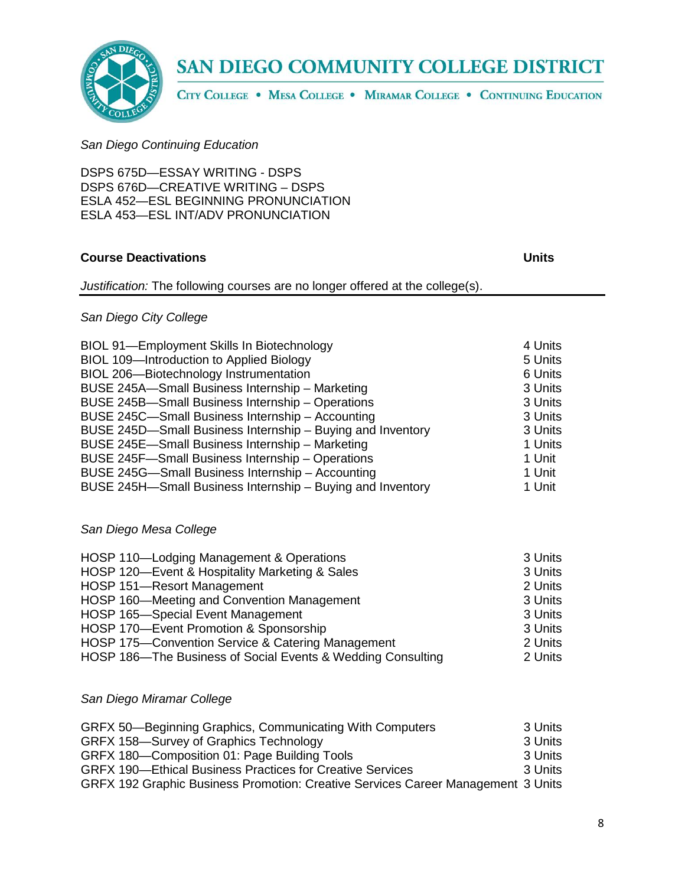

CITY COLLEGE . MESA COLLEGE . MIRAMAR COLLEGE . CONTINUING EDUCATION

### *San Diego Continuing Education*

DSPS 675D—ESSAY WRITING - DSPS DSPS 676D—CREATIVE WRITING – DSPS ESLA 452—ESL BEGINNING PRONUNCIATION ESLA 453—ESL INT/ADV PRONUNCIATION

## **Course Deactivations Units**

*Justification:* The following courses are no longer offered at the college(s).

## *San Diego City College*

| BIOL 91-Employment Skills In Biotechnology                 | 4 Units |
|------------------------------------------------------------|---------|
| BIOL 109-Introduction to Applied Biology                   | 5 Units |
| BIOL 206-Biotechnology Instrumentation                     | 6 Units |
| BUSE 245A-Small Business Internship - Marketing            | 3 Units |
| BUSE 245B-Small Business Internship - Operations           | 3 Units |
| BUSE 245C-Small Business Internship - Accounting           | 3 Units |
| BUSE 245D-Small Business Internship - Buying and Inventory | 3 Units |
| BUSE 245E-Small Business Internship - Marketing            | 1 Units |
| BUSE 245F-Small Business Internship - Operations           | 1 Unit  |
| BUSE 245G-Small Business Internship - Accounting           | 1 Unit  |
| BUSE 245H-Small Business Internship - Buying and Inventory | 1 Unit  |

## *San Diego Mesa College*

| HOSP 110-Lodging Management & Operations                    | 3 Units |
|-------------------------------------------------------------|---------|
| HOSP 120-Event & Hospitality Marketing & Sales              | 3 Units |
| HOSP 151-Resort Management                                  | 2 Units |
| HOSP 160—Meeting and Convention Management                  | 3 Units |
| HOSP 165-Special Event Management                           | 3 Units |
| HOSP 170-Event Promotion & Sponsorship                      | 3 Units |
| HOSP 175-Convention Service & Catering Management           | 2 Units |
| HOSP 186-The Business of Social Events & Wedding Consulting | 2 Units |

### *San Diego Miramar College*

| GRFX 50—Beginning Graphics, Communicating With Computers                         | 3 Units  |
|----------------------------------------------------------------------------------|----------|
| GRFX 158-Survey of Graphics Technology                                           | 3 Units  |
| GRFX 180-Composition 01: Page Building Tools                                     | 3 Units  |
| <b>GRFX 190—Ethical Business Practices for Creative Services</b>                 | -3 Units |
| GRFX 192 Graphic Business Promotion: Creative Services Career Management 3 Units |          |